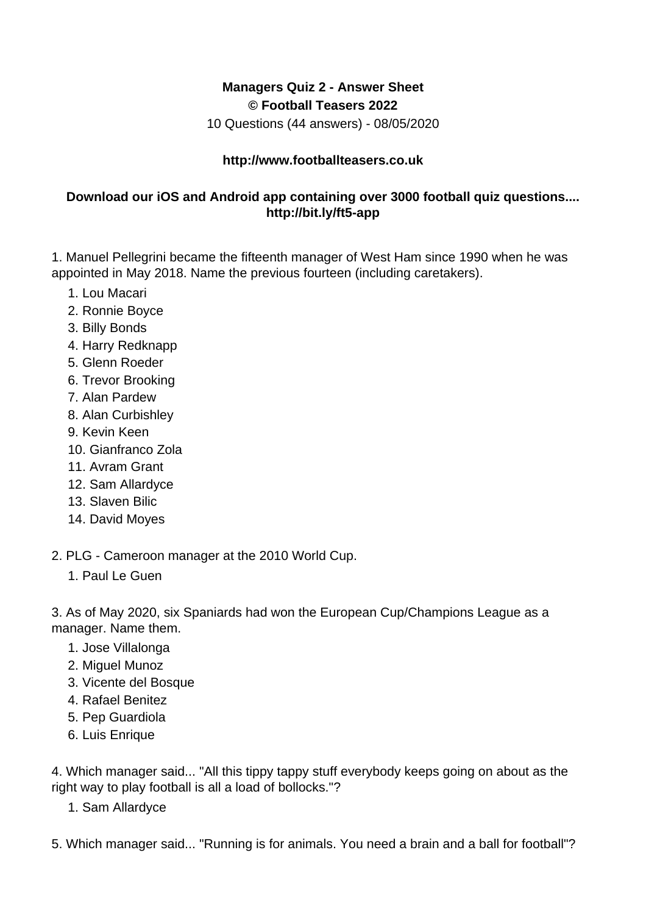## **Managers Quiz 2 - Answer Sheet © Football Teasers 2022**

10 Questions (44 answers) - 08/05/2020

## **http://www.footballteasers.co.uk**

## **Download our iOS and Android app containing over 3000 football quiz questions.... http://bit.ly/ft5-app**

1. Manuel Pellegrini became the fifteenth manager of West Ham since 1990 when he was appointed in May 2018. Name the previous fourteen (including caretakers).

- 1. Lou Macari
- 2. Ronnie Boyce
- 3. Billy Bonds
- 4. Harry Redknapp
- 5. Glenn Roeder
- 6. Trevor Brooking
- 7. Alan Pardew
- 8. Alan Curbishley
- 9. Kevin Keen
- 10. Gianfranco Zola
- 11. Avram Grant
- 12. Sam Allardyce
- 13. Slaven Bilic
- 14. David Moyes

2. PLG - Cameroon manager at the 2010 World Cup.

1. Paul Le Guen

3. As of May 2020, six Spaniards had won the European Cup/Champions League as a manager. Name them.

- 1. Jose Villalonga
- 2. Miguel Munoz
- 3. Vicente del Bosque
- 4. Rafael Benitez
- 5. Pep Guardiola
- 6. Luis Enrique

4. Which manager said... "All this tippy tappy stuff everybody keeps going on about as the right way to play football is all a load of bollocks."?

1. Sam Allardyce

5. Which manager said... "Running is for animals. You need a brain and a ball for football"?